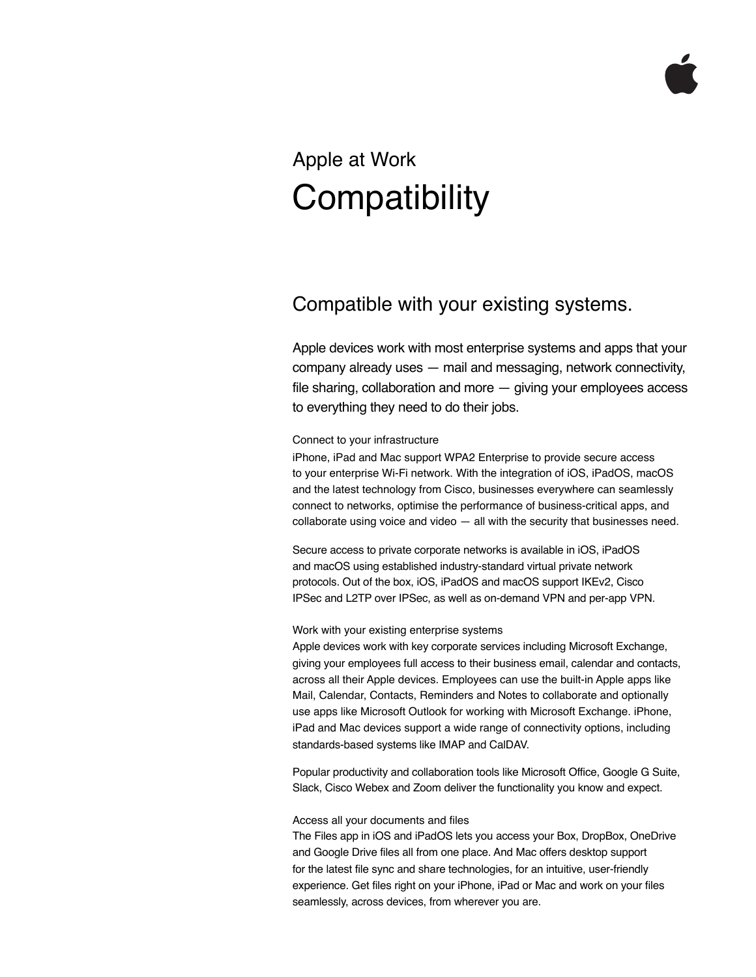## Apple at Work **Compatibility**

## Compatible with your existing systems.

Apple devices work with most enterprise systems and apps that your company already uses — mail and messaging, network connectivity, file sharing, collaboration and more — giving your employees access to everything they need to do their jobs.

Connect to your infrastructure

iPhone, iPad and Mac support WPA2 Enterprise to provide secure access to your enterprise Wi-Fi network. With the integration of iOS, iPadOS, macOS and the latest technology from Cisco, businesses everywhere can seamlessly connect to networks, optimise the performance of business-critical apps, and collaborate using voice and video — all with the security that businesses need.

Secure access to private corporate networks is available in iOS, iPadOS and macOS using established industry-standard virtual private network protocols. Out of the box, iOS, iPadOS and macOS support IKEv2, Cisco IPSec and L2TP over IPSec, as well as on-demand VPN and per-app VPN.

## Work with your existing enterprise systems

Apple devices work with key corporate services including Microsoft Exchange, giving your employees full access to their business email, calendar and contacts, across all their Apple devices. Employees can use the built-in Apple apps like Mail, Calendar, Contacts, Reminders and Notes to collaborate and optionally use apps like Microsoft Outlook for working with Microsoft Exchange. iPhone, iPad and Mac devices support a wide range of connectivity options, including standards-based systems like IMAP and CalDAV.

Popular productivity and collaboration tools like Microsoft Office, Google G Suite, Slack, Cisco Webex and Zoom deliver the functionality you know and expect.

## Access all your documents and files

The Files app in iOS and iPadOS lets you access your Box, DropBox, OneDrive and Google Drive files all from one place. And Mac offers desktop support for the latest file sync and share technologies, for an intuitive, user-friendly experience. Get files right on your iPhone, iPad or Mac and work on your files seamlessly, across devices, from wherever you are.